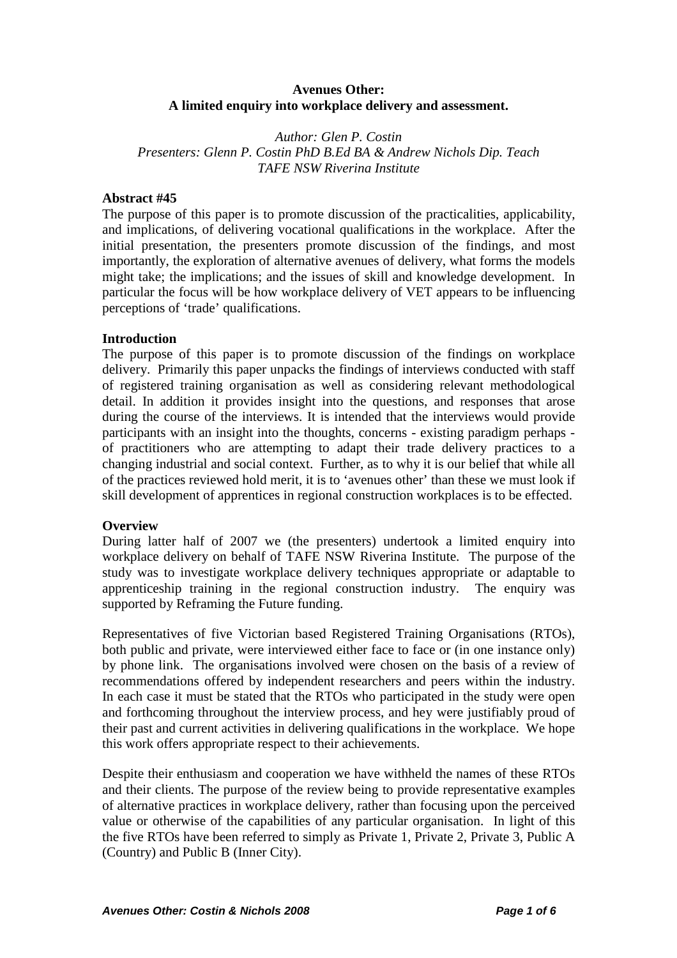## **Avenues Other: A limited enquiry into workplace delivery and assessment.**

*Author: Glen P. Costin Presenters: Glenn P. Costin PhD B.Ed BA & Andrew Nichols Dip. Teach TAFE NSW Riverina Institute* 

### **Abstract #45**

The purpose of this paper is to promote discussion of the practicalities, applicability, and implications, of delivering vocational qualifications in the workplace. After the initial presentation, the presenters promote discussion of the findings, and most importantly, the exploration of alternative avenues of delivery, what forms the models might take; the implications; and the issues of skill and knowledge development. In particular the focus will be how workplace delivery of VET appears to be influencing perceptions of 'trade' qualifications.

#### **Introduction**

The purpose of this paper is to promote discussion of the findings on workplace delivery. Primarily this paper unpacks the findings of interviews conducted with staff of registered training organisation as well as considering relevant methodological detail. In addition it provides insight into the questions, and responses that arose during the course of the interviews. It is intended that the interviews would provide participants with an insight into the thoughts, concerns - existing paradigm perhaps of practitioners who are attempting to adapt their trade delivery practices to a changing industrial and social context. Further, as to why it is our belief that while all of the practices reviewed hold merit, it is to 'avenues other' than these we must look if skill development of apprentices in regional construction workplaces is to be effected.

## **Overview**

During latter half of 2007 we (the presenters) undertook a limited enquiry into workplace delivery on behalf of TAFE NSW Riverina Institute. The purpose of the study was to investigate workplace delivery techniques appropriate or adaptable to apprenticeship training in the regional construction industry. The enquiry was supported by Reframing the Future funding.

Representatives of five Victorian based Registered Training Organisations (RTOs), both public and private, were interviewed either face to face or (in one instance only) by phone link. The organisations involved were chosen on the basis of a review of recommendations offered by independent researchers and peers within the industry. In each case it must be stated that the RTOs who participated in the study were open and forthcoming throughout the interview process, and hey were justifiably proud of their past and current activities in delivering qualifications in the workplace. We hope this work offers appropriate respect to their achievements.

Despite their enthusiasm and cooperation we have withheld the names of these RTOs and their clients. The purpose of the review being to provide representative examples of alternative practices in workplace delivery, rather than focusing upon the perceived value or otherwise of the capabilities of any particular organisation. In light of this the five RTOs have been referred to simply as Private 1, Private 2, Private 3, Public A (Country) and Public B (Inner City).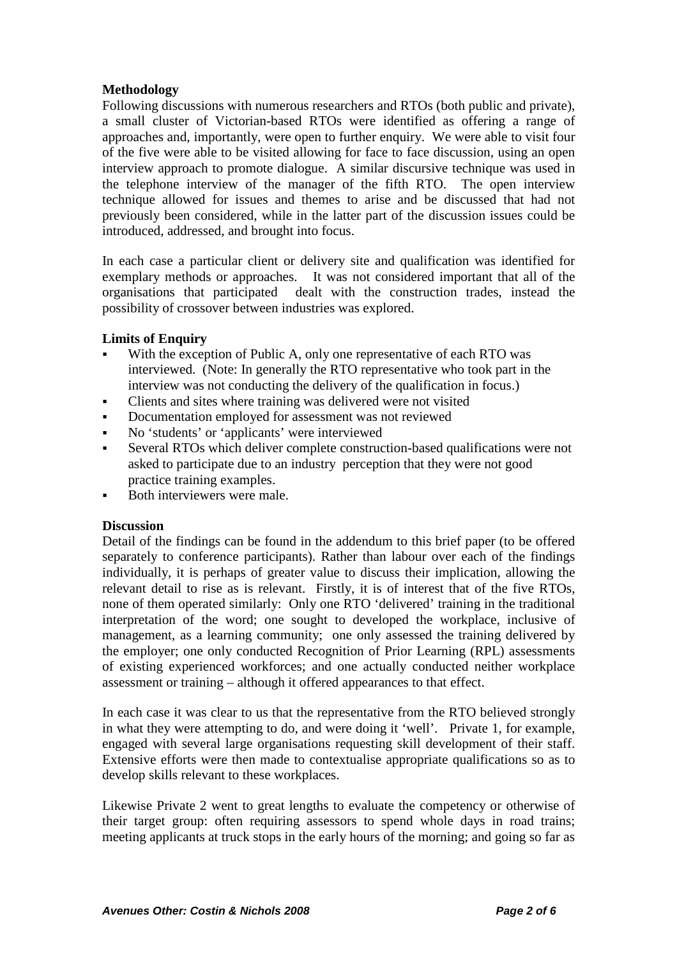## **Methodology**

Following discussions with numerous researchers and RTOs (both public and private), a small cluster of Victorian-based RTOs were identified as offering a range of approaches and, importantly, were open to further enquiry. We were able to visit four of the five were able to be visited allowing for face to face discussion, using an open interview approach to promote dialogue. A similar discursive technique was used in the telephone interview of the manager of the fifth RTO. The open interview technique allowed for issues and themes to arise and be discussed that had not previously been considered, while in the latter part of the discussion issues could be introduced, addressed, and brought into focus.

In each case a particular client or delivery site and qualification was identified for exemplary methods or approaches. It was not considered important that all of the organisations that participated dealt with the construction trades, instead the possibility of crossover between industries was explored.

## **Limits of Enquiry**

- With the exception of Public A, only one representative of each RTO was interviewed. (Note: In generally the RTO representative who took part in the interview was not conducting the delivery of the qualification in focus.)
- Clients and sites where training was delivered were not visited
- Documentation employed for assessment was not reviewed
- No 'students' or 'applicants' were interviewed
- Several RTOs which deliver complete construction-based qualifications were not asked to participate due to an industry perception that they were not good practice training examples.
- Both interviewers were male.

## **Discussion**

Detail of the findings can be found in the addendum to this brief paper (to be offered separately to conference participants). Rather than labour over each of the findings individually, it is perhaps of greater value to discuss their implication, allowing the relevant detail to rise as is relevant. Firstly, it is of interest that of the five RTOs, none of them operated similarly: Only one RTO 'delivered' training in the traditional interpretation of the word; one sought to developed the workplace, inclusive of management, as a learning community; one only assessed the training delivered by the employer; one only conducted Recognition of Prior Learning (RPL) assessments of existing experienced workforces; and one actually conducted neither workplace assessment or training – although it offered appearances to that effect.

In each case it was clear to us that the representative from the RTO believed strongly in what they were attempting to do, and were doing it 'well'. Private 1, for example, engaged with several large organisations requesting skill development of their staff. Extensive efforts were then made to contextualise appropriate qualifications so as to develop skills relevant to these workplaces.

Likewise Private 2 went to great lengths to evaluate the competency or otherwise of their target group: often requiring assessors to spend whole days in road trains; meeting applicants at truck stops in the early hours of the morning; and going so far as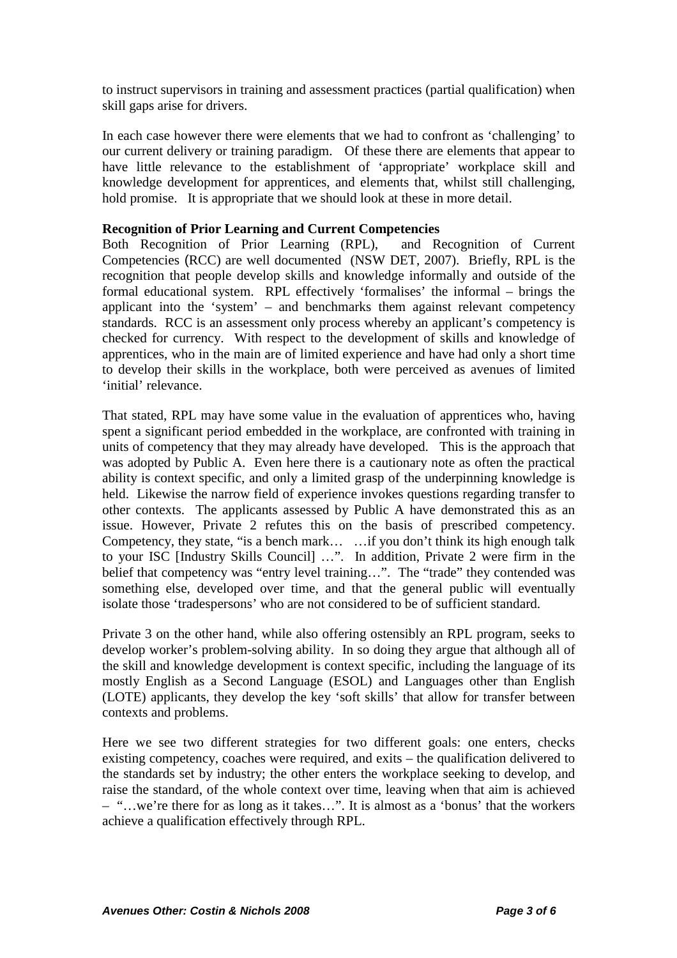to instruct supervisors in training and assessment practices (partial qualification) when skill gaps arise for drivers.

In each case however there were elements that we had to confront as 'challenging' to our current delivery or training paradigm. Of these there are elements that appear to have little relevance to the establishment of 'appropriate' workplace skill and knowledge development for apprentices, and elements that, whilst still challenging, hold promise. It is appropriate that we should look at these in more detail.

## **Recognition of Prior Learning and Current Competencies**

Both Recognition of Prior Learning (RPL), and Recognition of Current Competencies (RCC) are well documented (NSW DET, 2007). Briefly, RPL is the recognition that people develop skills and knowledge informally and outside of the formal educational system. RPL effectively 'formalises' the informal – brings the applicant into the 'system' – and benchmarks them against relevant competency standards. RCC is an assessment only process whereby an applicant's competency is checked for currency. With respect to the development of skills and knowledge of apprentices, who in the main are of limited experience and have had only a short time to develop their skills in the workplace, both were perceived as avenues of limited 'initial' relevance.

That stated, RPL may have some value in the evaluation of apprentices who, having spent a significant period embedded in the workplace, are confronted with training in units of competency that they may already have developed. This is the approach that was adopted by Public A. Even here there is a cautionary note as often the practical ability is context specific, and only a limited grasp of the underpinning knowledge is held. Likewise the narrow field of experience invokes questions regarding transfer to other contexts. The applicants assessed by Public A have demonstrated this as an issue. However, Private 2 refutes this on the basis of prescribed competency. Competency, they state, "is a bench mark… …if you don't think its high enough talk to your ISC [Industry Skills Council] …". In addition, Private 2 were firm in the belief that competency was "entry level training…". The "trade" they contended was something else, developed over time, and that the general public will eventually isolate those 'tradespersons' who are not considered to be of sufficient standard.

Private 3 on the other hand, while also offering ostensibly an RPL program, seeks to develop worker's problem-solving ability. In so doing they argue that although all of the skill and knowledge development is context specific, including the language of its mostly English as a Second Language (ESOL) and Languages other than English (LOTE) applicants, they develop the key 'soft skills' that allow for transfer between contexts and problems.

Here we see two different strategies for two different goals: one enters, checks existing competency, coaches were required, and exits – the qualification delivered to the standards set by industry; the other enters the workplace seeking to develop, and raise the standard, of the whole context over time, leaving when that aim is achieved – "…we're there for as long as it takes…". It is almost as a 'bonus' that the workers achieve a qualification effectively through RPL.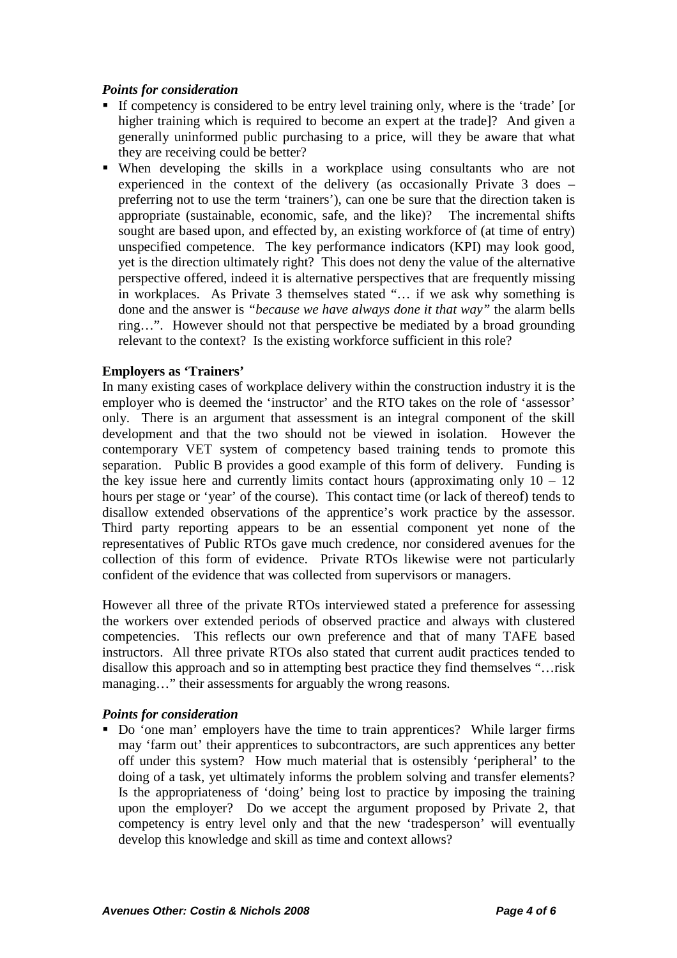## *Points for consideration*

- If competency is considered to be entry level training only, where is the 'trade' [or higher training which is required to become an expert at the trade]? And given a generally uninformed public purchasing to a price, will they be aware that what they are receiving could be better?
- When developing the skills in a workplace using consultants who are not experienced in the context of the delivery (as occasionally Private 3 does – preferring not to use the term 'trainers'), can one be sure that the direction taken is appropriate (sustainable, economic, safe, and the like)? The incremental shifts sought are based upon, and effected by, an existing workforce of (at time of entry) unspecified competence. The key performance indicators (KPI) may look good, yet is the direction ultimately right? This does not deny the value of the alternative perspective offered, indeed it is alternative perspectives that are frequently missing in workplaces. As Private 3 themselves stated "… if we ask why something is done and the answer is *"because we have always done it that way"* the alarm bells ring…". However should not that perspective be mediated by a broad grounding relevant to the context? Is the existing workforce sufficient in this role?

## **Employers as 'Trainers'**

In many existing cases of workplace delivery within the construction industry it is the employer who is deemed the 'instructor' and the RTO takes on the role of 'assessor' only. There is an argument that assessment is an integral component of the skill development and that the two should not be viewed in isolation. However the contemporary VET system of competency based training tends to promote this separation. Public B provides a good example of this form of delivery. Funding is the key issue here and currently limits contact hours (approximating only  $10 - 12$ ) hours per stage or 'year' of the course). This contact time (or lack of thereof) tends to disallow extended observations of the apprentice's work practice by the assessor. Third party reporting appears to be an essential component yet none of the representatives of Public RTOs gave much credence, nor considered avenues for the collection of this form of evidence. Private RTOs likewise were not particularly confident of the evidence that was collected from supervisors or managers.

However all three of the private RTOs interviewed stated a preference for assessing the workers over extended periods of observed practice and always with clustered competencies. This reflects our own preference and that of many TAFE based instructors. All three private RTOs also stated that current audit practices tended to disallow this approach and so in attempting best practice they find themselves "…risk managing…" their assessments for arguably the wrong reasons.

## *Points for consideration*

 Do 'one man' employers have the time to train apprentices? While larger firms may 'farm out' their apprentices to subcontractors, are such apprentices any better off under this system? How much material that is ostensibly 'peripheral' to the doing of a task, yet ultimately informs the problem solving and transfer elements? Is the appropriateness of 'doing' being lost to practice by imposing the training upon the employer? Do we accept the argument proposed by Private 2, that competency is entry level only and that the new 'tradesperson' will eventually develop this knowledge and skill as time and context allows?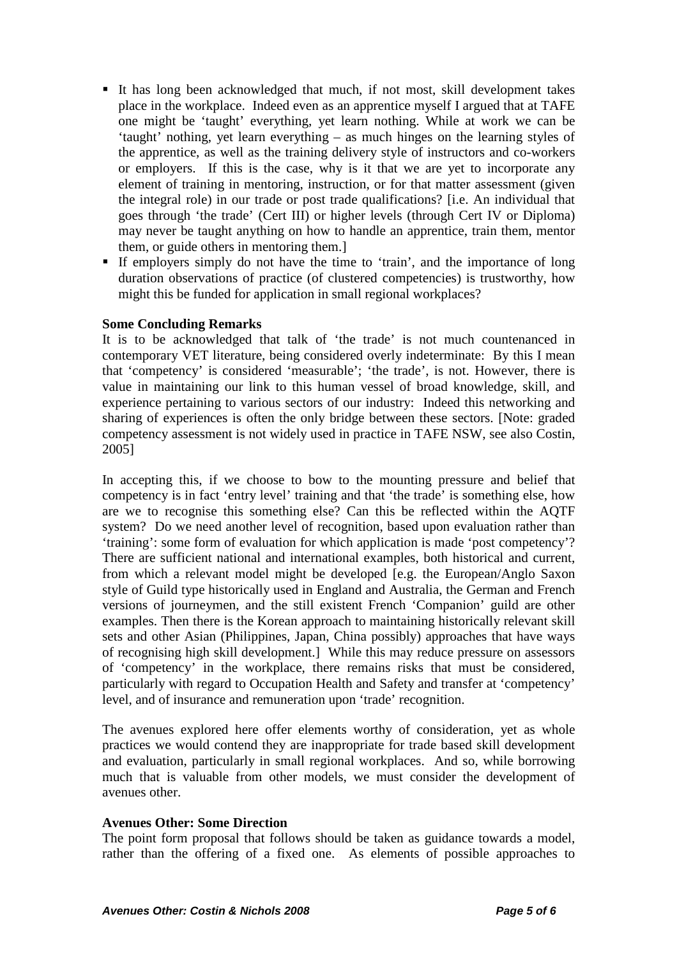- It has long been acknowledged that much, if not most, skill development takes place in the workplace. Indeed even as an apprentice myself I argued that at TAFE one might be 'taught' everything, yet learn nothing. While at work we can be 'taught' nothing, yet learn everything – as much hinges on the learning styles of the apprentice, as well as the training delivery style of instructors and co-workers or employers. If this is the case, why is it that we are yet to incorporate any element of training in mentoring, instruction, or for that matter assessment (given the integral role) in our trade or post trade qualifications? [i.e. An individual that goes through 'the trade' (Cert III) or higher levels (through Cert IV or Diploma) may never be taught anything on how to handle an apprentice, train them, mentor them, or guide others in mentoring them.]
- If employers simply do not have the time to 'train', and the importance of long duration observations of practice (of clustered competencies) is trustworthy, how might this be funded for application in small regional workplaces?

## **Some Concluding Remarks**

It is to be acknowledged that talk of 'the trade' is not much countenanced in contemporary VET literature, being considered overly indeterminate: By this I mean that 'competency' is considered 'measurable'; 'the trade', is not. However, there is value in maintaining our link to this human vessel of broad knowledge, skill, and experience pertaining to various sectors of our industry: Indeed this networking and sharing of experiences is often the only bridge between these sectors. [Note: graded competency assessment is not widely used in practice in TAFE NSW, see also Costin, 2005]

In accepting this, if we choose to bow to the mounting pressure and belief that competency is in fact 'entry level' training and that 'the trade' is something else, how are we to recognise this something else? Can this be reflected within the AQTF system? Do we need another level of recognition, based upon evaluation rather than 'training': some form of evaluation for which application is made 'post competency'? There are sufficient national and international examples, both historical and current, from which a relevant model might be developed [e.g. the European/Anglo Saxon style of Guild type historically used in England and Australia, the German and French versions of journeymen, and the still existent French 'Companion' guild are other examples. Then there is the Korean approach to maintaining historically relevant skill sets and other Asian (Philippines, Japan, China possibly) approaches that have ways of recognising high skill development.] While this may reduce pressure on assessors of 'competency' in the workplace, there remains risks that must be considered, particularly with regard to Occupation Health and Safety and transfer at 'competency' level, and of insurance and remuneration upon 'trade' recognition.

The avenues explored here offer elements worthy of consideration, yet as whole practices we would contend they are inappropriate for trade based skill development and evaluation, particularly in small regional workplaces. And so, while borrowing much that is valuable from other models, we must consider the development of avenues other.

## **Avenues Other: Some Direction**

The point form proposal that follows should be taken as guidance towards a model, rather than the offering of a fixed one. As elements of possible approaches to